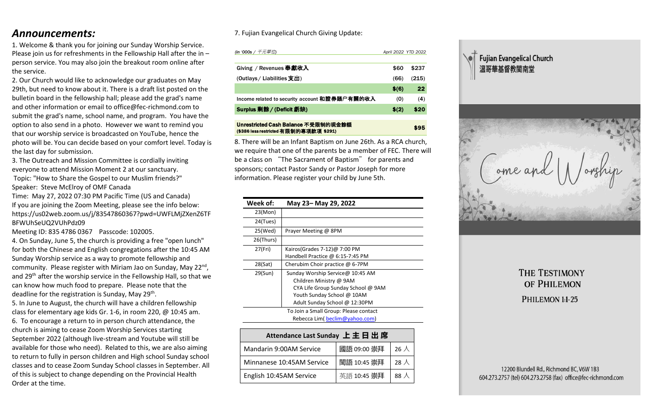## *Announcements:*

1. Welcome & thank you for joining our Sunday Worship Service. Please join us for refreshments in the Fellowship Hall after the in – person service. You may also join the breakout room online after the service.

2. Our Church would like to acknowledge our graduates on May 29th, but need to know about it. There is a draft list posted on the bulletin board in the fellowship hall; please add the grad's name and other information or email to office@fec-richmond.com to submit the grad's name, school name, and program. You have the option to also send in a photo. However we want to remind you that our worship service is broadcasted on YouTube, hence the photo will be. You can decide based on your comfort level. Today is the last day for submission.

3. The Outreach and Mission Committee is cordially inviting everyone to attend Mission Moment 2 at our sanctuary. Topic: "How to Share the Gospel to our Muslim friends?" Speaker: Steve McElroy of OMF Canada

Time: May 27, 2022 07:30 PM Pacific Time (US and Canada) If you are joining the Zoom Meeting, please see the info below: https://us02web.zoom.us/j/83547860367?pwd=UWFLMjZXenZ6TF BFWUhSeUQ2VUhPdz09

Meeting ID: 835 4786 0367 Passcode: 102005.

4. On Sunday, June 5, the church is providing a free "open lunch" for both the Chinese and English congregations after the 10:45 AM Sunday Worship service as a way to promote fellowship and community. Please register with Miriam Jao on Sunday, May 22<sup>nd</sup>, and 29th after the worship service in the Fellowship Hall, so that we can know how much food to prepare. Please note that the deadline for the registration is Sunday, May 29<sup>th</sup>.

5. In June to August, the church will have a children fellowship class for elementary age kids Gr. 1-6, in room 220, @ 10:45 am. 6. To encourage a return to in person church attendance, the church is aiming to cease Zoom Worship Services starting September 2022 (although live-stream and Youtube will still be available for those who need). Related to this, we are also aiming to return to fully in person children and High school Sunday school classes and to cease Zoom Sunday School classes in September. All of this is subject to change depending on the Provincial Health Order at the time.

## 7. Fujian Evangelical Church Giving Update:

| (in '000s / <i>千元單位</i> )                     | April 2022 YTD 2022 |       |
|-----------------------------------------------|---------------------|-------|
| Giving / Revenues 奉獻收入                        | \$60                | \$237 |
| (Outlays / Liabilities 支出)                    | (66)                | (215) |
|                                               | \$(6)               | 22    |
| Income related to security account 和證券賬户有關的收入 | (0)                 | (4)   |
| Surplus 剩餘 / (Deficit 虧缺)                     | \$(2)               | \$20  |
|                                               |                     |       |

#### Unrestricted Cash Balance 不受限制的現金餘額 (\$386 less restricted 有限制的專項款項 \$291) \$95

8. There will be an Infant Baptism on June 26th. As a RCA church, we require that one of the parents be a member of FEC. There will be a class on "The Sacrament of Baptism" for parents and sponsors; contact Pastor Sandy or Pastor Joseph for more information. Please register your child by June 5th.

| Week of:  | May 23- May 29, 2022                  |
|-----------|---------------------------------------|
| 23(Mon)   |                                       |
| 24(Tues)  |                                       |
| 25(Wed)   | Prayer Meeting @ 8PM                  |
| 26(Thurs) |                                       |
| 27(Fri)   | Kairos(Grades 7-12) $@$ 7:00 PM       |
|           | Handbell Practice @ 6:15-7:45 PM      |
| 28(Sat)   | Cherubim Choir practice @ 6-7PM       |
| 29(Sun)   | Sunday Worship Service@ 10:45 AM      |
|           | Children Ministry @ 9AM               |
|           | CYA Life Group Sunday School @ 9AM    |
|           | Youth Sunday School @ 10AM            |
|           | Adult Sunday School @ 12:30PM         |
|           | To Join a Small Group: Please contact |
|           | Rebecca Lim( beclim@yahoo.com)        |

| Attendance Last Sunday 上主日出席 |             |              |  |  |
|------------------------------|-------------|--------------|--|--|
| Mandarin 9:00AM Service      | 國語 09:00 崇拜 | $26 \lambda$ |  |  |
| Minnanese 10:45AM Service    | 閩語 10:45 崇拜 | 28 $\lambda$ |  |  |
| English 10:45AM Service      | 英語 10:45 崇拜 | 88 $\lambda$ |  |  |





# THE TESTIMONY OF PHILEMON PHILEMON 1:1-25

#### 12200 Blundell Rd., Richmond BC, V6W 1B3 604.273.2757 (tel) 604.273.2758 (fax) office@fec-richmond.com